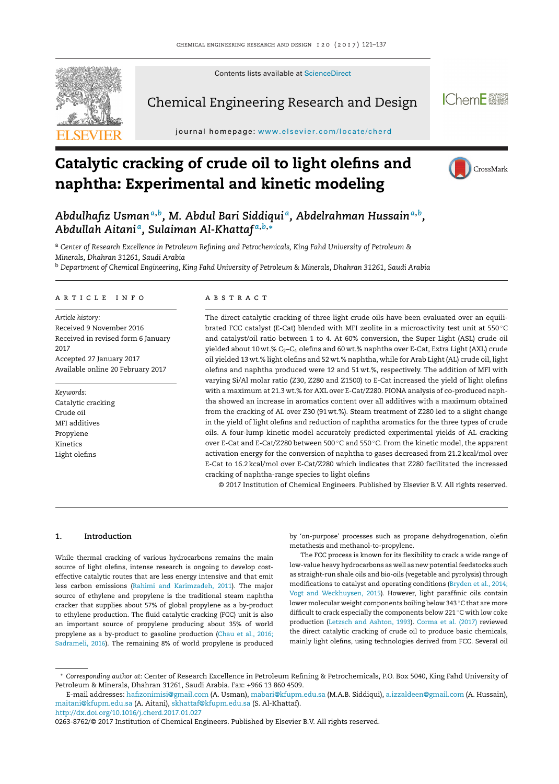Contents lists available at [ScienceDirect](http://www.sciencedirect.com/science/journal/02638762)



Chemical Engineering Research and Design



journal homepage: <www.elsevier.com/locate/cherd>

# **Catalytic cracking of crude oil to light olefins and naphtha: Experimental and kinetic modeling**



*Abdulhafiz Usman<sup>a</sup>***,***b, M. Abdul Bari Siddiqui a, Abdelrahman Hussain<sup>a</sup>***,***b, Abdullah Aitani a, Sulaiman Al-Khattaf <sup>a</sup>***,***b***,<sup>∗</sup>**

<sup>a</sup> *Center of Research Excellence in Petroleum Refining and Petrochemicals, King Fahd University of Petroleum & Minerals, Dhahran 31261, Saudi Arabia*

<sup>b</sup> *Department of Chemical Engineering, King Fahd University of Petroleum & Minerals, Dhahran 31261, Saudi Arabia*

#### ARTICLE INFO

*Article history:* Received 9 November 2016 Received in revised form 6 January 2017 Accepted 27 January 2017 Available online 20 February 2017

*Keywords:* Catalytic cracking Crude oil MFI additives Propylene Kinetics Light olefins

# a b s t r a c t

The direct catalytic cracking of three light crude oils have been evaluated over an equilibrated FCC catalyst (E-Cat) blended with MFI zeolite in a microactivity test unit at 550 ◦C and catalyst/oil ratio between 1 to 4. At 60% conversion, the Super Light (ASL) crude oil yielded about 10 wt.%  $C_2$ – $C_4$  olefins and 60 wt.% naphtha over E-Cat, Extra Light (AXL) crude oil yielded 13 wt.% light olefins and 52 wt.% naphtha, while for Arab Light (AL) crude oil, light olefins and naphtha produced were 12 and 51 wt.%, respectively. The addition of MFI with varying Si/Al molar ratio (Z30, Z280 and Z1500) to E-Cat increased the yield of light olefins with a maximum at 21.3 wt.% for AXL over E-Cat/Z280. PIONA analysis of co-produced naphtha showed an increase in aromatics content over all additives with a maximum obtained from the cracking of AL over Z30 (91 wt.%). Steam treatment of Z280 led to a slight change in the yield of light olefins and reduction of naphtha aromatics for the three types of crude oils. A four-lump kinetic model accurately predicted experimental yields of AL cracking over E-Cat and E-Cat/Z280 between 500 ◦C and 550 ◦C. From the kinetic model, the apparent activation energy for the conversion of naphtha to gases decreased from 21.2 kcal/mol over E-Cat to 16.2 kcal/mol over E-Cat/Z280 which indicates that Z280 facilitated the increased cracking of naphtha-range species to light olefins

© 2017 Institution of Chemical Engineers. Published by Elsevier B.V. All rights reserved.

# **1. Introduction**

While thermal cracking of various hydrocarbons remains the main source of light olefins, intense research is ongoing to develop costeffective catalytic routes that are less energy intensive and that emit less carbon emissions [\(Rahimi](#page--1-0) [and](#page--1-0) [Karimzadeh,](#page--1-0) [2011\).](#page--1-0) The major source of ethylene and propylene is the traditional steam naphtha cracker that supplies about 57% of global propylene as a by-product to ethylene production. The fluid catalytic cracking (FCC) unit is also an important source of propylene producing about 35% of world propylene as a by-product to gasoline production [\(Chau](#page--1-0) et [al.,](#page--1-0) [2016;](#page--1-0) [Sadrameli,](#page--1-0) [2016\).](#page--1-0) The remaining 8% of world propylene is produced

by 'on-purpose' processes such as propane dehydrogenation, olefin metathesis and methanol-to-propylene.

The FCC process is known for its flexibility to crack a wide range of low-value heavy hydrocarbons as well as new potentialfeedstocks such as straight-run shale oils and bio-oils (vegetable and pyrolysis) through modifications to catalyst and operating conditions [\(Bryden](#page--1-0) et [al.,](#page--1-0) [2014;](#page--1-0) [Vogt](#page--1-0) [and](#page--1-0) [Weckhuysen,](#page--1-0) [2015\).](#page--1-0) However, light paraffinic oils contain lower molecular weight components boiling below 343 ◦C that are more difficult to crack especially the components below 221 ◦C with low coke production ([Letzsch](#page--1-0) [and](#page--1-0) [Ashton,](#page--1-0) [1993\).](#page--1-0) [Corma](#page--1-0) et [al.](#page--1-0) [\(2017\)](#page--1-0) reviewed the direct catalytic cracking of crude oil to produce basic chemicals, mainly light olefins, using technologies derived from FCC. Several oil

[http://dx.doi.org/10.1016/j.cherd.2017.01.027](dx.doi.org/10.1016/j.cherd.2017.01.027)

<sup>∗</sup> *Corresponding author at*: Center of Research Excellence in Petroleum Refining & Petrochemicals, P.O. Box 5040, King Fahd University of Petroleum & Minerals, Dhahran 31261, Saudi Arabia. Fax: +966 13 860 4509.

E-mail addresses: [hafizonimisi@gmail.com](mailto:hafizonimisi@gmail.com) (A. Usman), [mabari@kfupm.edu.sa](mailto:mabari@kfupm.edu.sa) (M.A.B. Siddiqui), [a.izzaldeen@gmail.com](mailto:a.izzaldeen@gmail.com) (A. Hussain), [maitani@kfupm.edu.sa](mailto:maitani@kfupm.edu.sa) (A. Aitani), [skhattaf@kfupm.edu.sa](mailto:skhattaf@kfupm.edu.sa) (S. Al-Khattaf).

<sup>0263-8762/©</sup> 2017 Institution of Chemical Engineers. Published by Elsevier B.V. All rights reserved.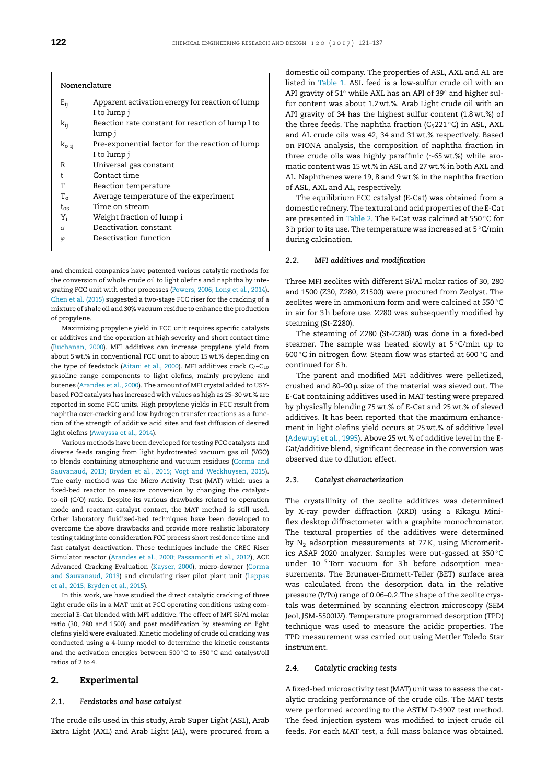#### **Nomenclature**

| $E_{ij}$    | Apparent activation energy for reaction of lump  |
|-------------|--------------------------------------------------|
|             | I to lump j                                      |
| $k_{ii}$    | Reaction rate constant for reaction of lump I to |
|             | lump j                                           |
| $k_{o,ij}$  | Pre-exponential factor for the reaction of lump  |
|             | I to lump j                                      |
| R           | Universal gas constant                           |
| t           | Contact time                                     |
| Т           | Reaction temperature                             |
| $T_{\rm o}$ | Average temperature of the experiment            |
| $t_{os}$    | Time on stream                                   |
| $Y_i$       | Weight fraction of lump i                        |
| $\alpha$    | Deactivation constant                            |
| $\varphi$   | Deactivation function                            |
|             |                                                  |

and chemical companies have patented various catalytic methods for the conversion of whole crude oil to light olefins and naphtha by integrating FCC unit with other processes [\(Powers,](#page--1-0) [2006;](#page--1-0) [Long](#page--1-0) et [al.,](#page--1-0) [2014\).](#page--1-0) [Chen](#page--1-0) et [al.](#page--1-0) [\(2015\)](#page--1-0) suggested a two-stage FCC riser for the cracking of a mixture of shale oil and 30% vacuum residue to enhance the production of propylene.

Maximizing propylene yield in FCC unit requires specific catalysts or additives and the operation at high severity and short contact time ([Buchanan,](#page--1-0) [2000\).](#page--1-0) MFI additives can increase propylene yield from about 5 wt.% in conventional FCC unit to about 15 wt.% depending on the type of feedstock [\(Aitani](#page--1-0) et [al.,](#page--1-0) [2000\).](#page--1-0) MFI additives crack  $C_7 - C_{10}$ gasoline range components to light olefins, mainly propylene and butenes [\(Arandes](#page--1-0) et [al.,](#page--1-0) [2000\).](#page--1-0) The amount of MFI crystal added to USYbased FCC catalysts has increased with values as high as 25–30 wt.% are reported in some FCC units. High propylene yields in FCC result from naphtha over-cracking and low hydrogen transfer reactions as a function of the strength of additive acid sites and fast diffusion of desired light olefins ([Awayssa](#page--1-0) et [al.,](#page--1-0) [2014\).](#page--1-0)

Various methods have been developed for testing FCC catalysts and diverse feeds ranging from light hydrotreated vacuum gas oil (VGO) to blends containing atmospheric and vacuum residues ([Corma](#page--1-0) [and](#page--1-0) [Sauvanaud,](#page--1-0) [2013;](#page--1-0) [Bryden](#page--1-0) et [al.,](#page--1-0) [2015;](#page--1-0) [Vogt](#page--1-0) [and](#page--1-0) [Weckhuysen,](#page--1-0) [2015\).](#page--1-0) The early method was the Micro Activity Test (MAT) which uses a fixed-bed reactor to measure conversion by changing the catalystto-oil (C/O) ratio. Despite its various drawbacks related to operation mode and reactant–catalyst contact, the MAT method is still used. Other laboratory fluidized-bed techniques have been developed to overcome the above drawbacks and provide more realistic laboratory testing taking into consideration FCC process short residence time and fast catalyst deactivation. These techniques include the CREC Riser Simulator reactor ([Arandes](#page--1-0) et [al.,](#page--1-0) [2000;](#page--1-0) [Passamonti](#page--1-0) et [al.,](#page--1-0) [2012\),](#page--1-0) ACE Advanced Cracking Evaluation [\(Kayser,](#page--1-0) [2000\),](#page--1-0) micro-downer ([Corma](#page--1-0) [and](#page--1-0) [Sauvanaud,](#page--1-0) [2013\)](#page--1-0) and circulating riser pilot plant unit [\(Lappas](#page--1-0) et [al.,](#page--1-0) [2015;](#page--1-0) [Bryden](#page--1-0) et [al.,](#page--1-0) [2015\).](#page--1-0)

In this work, we have studied the direct catalytic cracking of three light crude oils in a MAT unit at FCC operating conditions using commercial E-Cat blended with MFI additive. The effect of MFI Si/Al molar ratio (30, 280 and 1500) and post modification by steaming on light olefins yield were evaluated. Kinetic modeling of crude oil cracking was conducted using a 4-lump model to determine the kinetic constants and the activation energies between 500 ◦C to 550 ◦C and catalyst/oil ratios of 2 to 4.

# **2. Experimental**

## *2.1. Feedstocks and base catalyst*

The crude oils used in this study, Arab Super Light (ASL), Arab Extra Light (AXL) and Arab Light (AL), were procured from a domestic oil company. The properties of ASL, AXL and AL are listed in [Table](#page--1-0) 1. ASL feed is a low-sulfur crude oil with an API gravity of 51◦ while AXL has an API of 39◦ and higher sulfur content was about 1.2 wt.%. Arab Light crude oil with an API gravity of 34 has the highest sulfur content (1.8 wt.%) of the three feeds. The naphtha fraction ( $C_5221^\circ C$ ) in ASL, AXL and AL crude oils was 42, 34 and 31 wt.% respectively. Based on PIONA analysis, the composition of naphtha fraction in three crude oils was highly paraffinic (∼65 wt.%) while aromatic content was 15 wt.% in ASL and 27 wt.% in both AXL and AL. Naphthenes were 19, 8 and 9 wt.% in the naphtha fraction of ASL, AXL and AL, respectively.

The equilibrium FCC catalyst (E-Cat) was obtained from a domestic refinery. The textural and acid properties of the E-Cat are presented in [Table](#page--1-0) 2. The E-Cat was calcined at 550 ◦C for 3h prior to its use. The temperature was increased at 5 ◦C/min during calcination.

#### *2.2. MFI additives and modification*

Three MFI zeolites with different Si/Al molar ratios of 30, 280 and 1500 (Z30, Z280, Z1500) were procured from Zeolyst. The zeolites were in ammonium form and were calcined at 550 ◦C in air for 3h before use. Z280 was subsequently modified by steaming (St-Z280).

The steaming of Z280 (St-Z280) was done in a fixed-bed steamer. The sample was heated slowly at 5 °C/min up to 600 ◦C in nitrogen flow. Steam flow was started at 600 ◦C and continued for 6h.

The parent and modified MFI additives were pelletized, crushed and 80–90  $\upmu$  size of the material was sieved out. The E-Cat containing additives used in MAT testing were prepared by physically blending 75 wt.% of E-Cat and 25 wt.% of sieved additives. It has been reported that the maximum enhancement in light olefins yield occurs at 25 wt.% of additive level ([Adewuyi](#page--1-0) et [al.,](#page--1-0) [1995\).](#page--1-0) Above 25 wt.% of additive level in the E-Cat/additive blend, significant decrease in the conversion was observed due to dilution effect.

### *2.3. Catalyst characterization*

The crystallinity of the zeolite additives was determined by X-ray powder diffraction (XRD) using a Rikagu Miniflex desktop diffractometer with a graphite monochromator. The textural properties of the additives were determined by  $N_2$  adsorption measurements at 77 K, using Micromeritics ASAP 2020 analyzer. Samples were out-gassed at 350 ◦C under 10−<sup>5</sup> Torr vacuum for 3h before adsorption measurements. The Brunauer-Emmett-Teller (BET) surface area was calculated from the desorption data in the relative pressure (P/Po) range of 0.06–0.2.The shape of the zeolite crystals was determined by scanning electron microscopy (SEM Jeol, JSM-5500LV). Temperature programmed desorption (TPD) technique was used to measure the acidic properties. The TPD measurement was carried out using Mettler Toledo Star instrument.

#### *2.4. Catalytic cracking tests*

A fixed-bed microactivity test(MAT) unit was to assess the catalytic cracking performance of the crude oils. The MAT tests were performed according to the ASTM D-3907 test method. The feed injection system was modified to inject crude oil feeds. For each MAT test, a full mass balance was obtained.